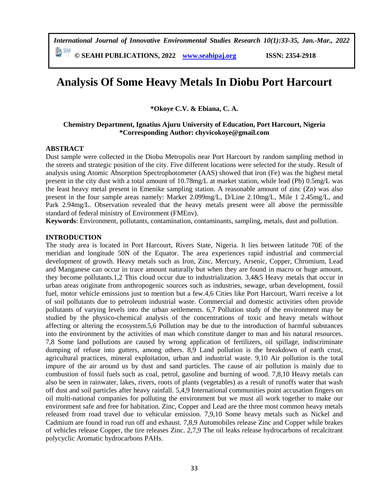*International Journal of Innovative Environmental Studies Research 10(1):33-35, Jan.-Mar., 2022*

**© SEAHI PUBLICATIONS, 2022 [www.seahipaj.org](http://www.seahipaj.org/) ISSN: 2354-2918**

# **Analysis Of Some Heavy Metals In Diobu Port Harcourt**

**\*Okoye C.V. & Ebiana, C. A.**

### **Chemistry Department, Ignatius Ajuru University of Education, Port Harcourt, Nigeria \*Corresponding Author: chyvicokoye@gmail.com**

#### **ABSTRACT**

Dust sample were collected in the Diobu Metropolis near Port Harcourt by random sampling method in the streets and strategic position of the city. Five different locations were selected for the study. Result of analysis using Atomic Absorption Spectrophotometer (AAS) showed that iron (Fe) was the highest metal present in the city dust with a total amount of 10.78mg/L at market station, while lead (Pb) 0.5mg/L was the least heavy metal present in Emenike sampling station. A reasonable amount of zinc (Zn) was also present in the four sample areas namely: Market 2.099mg/L, D/Line 2.10mg/L, Mile 1 2.45mg/L, and Park 2.94mg/L. Observation revealed that the heavy metals present were all above the permissible standard of federal ministry of Environment (FMEnv).

**Keywords**: Environment, pollutants, contamination, contaminants, sampling, metals, dust and pollution.

#### **INTRODUCTION**

The study area is located in Port Harcourt, Rivers State, Nigeria. It lies between latitude 70E of the meridian and longitude 50N of the Equator. The area experiences rapid industrial and commercial development of growth. Heavy metals such as Iron, Zinc, Mercury, Arsenic, Copper, Chromium, Lead and Manganese can occur in trace amount naturally but when they are found in macro or huge amount, they become pollutants.1,2 This cloud occur due to industrialization. 3,4&5 Heavy metals that occur in urban areas originate from anthropogenic sources such as industries, sewage, urban development, fossil fuel, motor vehicle emissions just to mention but a few.4,6 Cities like Port Harcourt, Warri receive a lot of soil pollutants due to petroleum industrial waste. Commercial and domestic activities often provide pollutants of varying levels into the urban settlements. 6,7 Pollution study of the environment may be studied by the physico-chemical analysis of the concentrations of toxic and heavy metals without affecting or altering the ecosystem.5,6 Pollution may be due to the introduction of harmful substances into the environment by the activities of man which constitute danger to man and his natural resources. 7,8 Some land pollutions are caused by wrong application of fertilizers, oil spillage, indiscriminate dumping of refuse into gutters, among others. 8,9 Land pollution is the breakdown of earth crust, agricultural practices, mineral exploitation, urban and industrial waste. 9,10 Air pollution is the total impure of the air around us by dust and sand particles. The cause of air pollution is mainly due to combustion of fossil fuels such as coal, petrol, gasoline and burning of wood. 7,8,10 Heavy metals can also be seen in rainwater, lakes, rivers, roots of plants (vegetables) as a result of runoffs water that wash off dust and soil particles after heavy rainfall. 5,4,9 International communities point accusation fingers on oil multi-national companies for polluting the environment but we must all work together to make our environment safe and free for habitation. Zinc, Copper and Lead are the three most common heavy metals released from road travel due to vehicular emission. 7,9,10 Some heavy metals such as Nickel and Cadmium are found in road run off and exhaust. 7,8,9 Automobiles release Zinc and Copper while brakes of vehicles release Copper, the tire releases Zinc. 2,7,9 The oil leaks release hydrocarbons of recalcitrant polycyclic Aromatic hydrocarbons PAHs.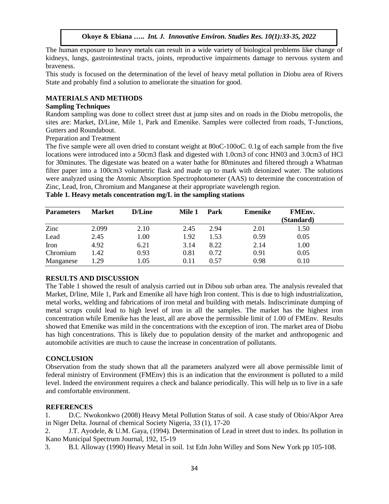# **Okoye & Ebiana …..** *Int. J. Innovative Environ. Studies Res. 10(1):33-35, 2022*

The human exposure to heavy metals can result in a wide variety of biological problems like change of kidneys, lungs, gastrointestinal tracts, joints, reproductive impairments damage to nervous system and braveness.

This study is focused on the determination of the level of heavy metal pollution in Diobu area of Rivers State and probably find a solution to ameliorate the situation for good.

# **MATERIALS AND METHODS**

### **Sampling Techniques**

Random sampling was done to collect street dust at jump sites and on roads in the Diobu metropolis, the sites are: Market, D/Line, Mile 1, Park and Emenike. Samples were collected from roads, T-Junctions, Gutters and Roundabout.

Preparation and Treatment

The five sample were all oven dried to constant weight at 80oC-100oC. 0.1g of each sample from the five locations were introduced into a 50cm3 flask and digested with 1.0cm3 of conc HN03 and 3.0cm3 of HCl for 30minutes. The digestate was heated on a water bathe for 80minutes and filtered through a Whatman filter paper into a 100cm3 volumetric flask and made up to mark with deionized water. The solutions were analyzed using the Atomic Absorption Spectrophotometer (AAS) to determine the concentration of Zinc, Lead, Iron, Chromium and Manganese at their appropriate wavelength region.

| <b>Parameters</b> | <b>Market</b> | D/Line | Mile 1   | Park | Emenike | FMEnv.     |  |
|-------------------|---------------|--------|----------|------|---------|------------|--|
|                   |               |        |          |      |         | (Standard) |  |
| Zinc              | 2.099         | 2.10   | 2.45     | 2.94 | 2.01    | 1.50       |  |
| Lead              | 2.45          | 1.00   | 1.92     | 1.53 | 0.59    | 0.05       |  |
| Iron              | 4.92          | 6.21   | 3.14     | 8.22 | 2.14    | 1.00       |  |
| Chromium          | 1.42          | 0.93   | 0.81     | 0.72 | 0.91    | 0.05       |  |
| Manganese         | .29           | 1.05   | $0.11\,$ | 0.57 | 0.98    | 0.10       |  |

**Table 1. Heavy metals concentration mg/L in the sampling stations** 

# **RESULTS AND DISCUSSION**

The Table 1 showed the result of analysis carried out in Dibou sub urban area. The analysis revealed that Market, D/line, Mile 1, Park and Emenike all have high Iron content. This is due to high industrialization, metal works, welding and fabrications of iron metal and building with metals. Indiscriminate dumping of metal scraps could lead to high level of iron in all the samples. The market has the highest iron concentration while Emenike has the least, all are above the permissible limit of 1.00 of FMEnv. Results showed that Emenike was mild in the concentrations with the exception of iron. The market area of Diobu has high concentrations. This is likely due to population density of the market and anthropogenic and automobile activities are much to cause the increase in concentration of pollutants.

# **CONCLUSION**

Observation from the study shown that all the parameters analyzed were all above permissible limit of federal ministry of Environment (FMEnv) this is an indication that the environment is polluted to a mild level. Indeed the environment requires a check and balance periodically. This will help us to live in a safe and comfortable environment.

# **REFERENCES**

1. D.C. Nwokonkwo (2008) Heavy Metal Pollution Status of soil. A case study of Obio/Akpor Area in Niger Delta. Journal of chemical Society Nigeria, 33 (1), 17-20

2. J.T. Ayodele, & U.M. Gaya, (1994). Determination of Lead in street dust to index. Its pollution in Kano Municipal Spectrum Journal, 192, 15-19

3. B.I. Alloway (1990) Heavy Metal in soil. 1st Edn John Willey and Sons New York pp 105-108.